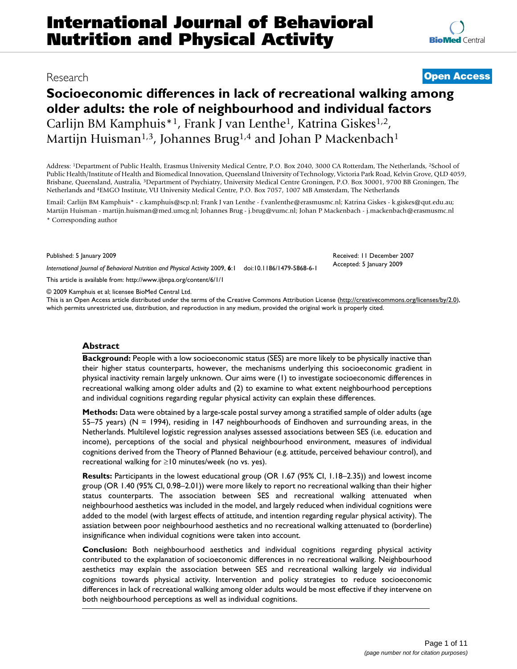# Research **[Open Access](http://www.biomedcentral.com/info/about/charter/)**

# **Socioeconomic differences in lack of recreational walking among older adults: the role of neighbourhood and individual factors** Carlijn BM Kamphuis<sup>\*1</sup>, Frank J van Lenthe<sup>1</sup>, Katrina Giskes<sup>1,2</sup>, Martijn Huisman<sup>1,3</sup>, Johannes Brug<sup>1,4</sup> and Johan P Mackenbach<sup>1</sup>

Address: 1Department of Public Health, Erasmus University Medical Centre, P.O. Box 2040, 3000 CA Rotterdam, The Netherlands, 2School of Public Health/Institute of Health and Biomedical Innovation, Queensland University of Technology, Victoria Park Road, Kelvin Grove, QLD 4059, Brisbane, Queensland, Australia, 3Department of Psychiatry, University Medical Centre Groningen, P.O. Box 30001, 9700 BB Groningen, The Netherlands and 4EMGO Institute, VU University Medical Centre, P.O. Box 7057, 1007 MB Amsterdam, The Netherlands

Email: Carlijn BM Kamphuis\* - c.kamphuis@scp.nl; Frank J van Lenthe - f.vanlenthe@erasmusmc.nl; Katrina Giskes - k.giskes@qut.edu.au; Martijn Huisman - martijn.huisman@med.umcg.nl; Johannes Brug - j.brug@vumc.nl; Johan P Mackenbach - j.mackenbach@erasmusmc.nl \* Corresponding author

Published: 5 January 2009

*International Journal of Behavioral Nutrition and Physical Activity* 2009, **6**:1 doi:10.1186/1479-5868-6-1

[This article is available from: http://www.ijbnpa.org/content/6/1/1](http://www.ijbnpa.org/content/6/1/1)

© 2009 Kamphuis et al; licensee BioMed Central Ltd.

This is an Open Access article distributed under the terms of the Creative Commons Attribution License [\(http://creativecommons.org/licenses/by/2.0\)](http://creativecommons.org/licenses/by/2.0), which permits unrestricted use, distribution, and reproduction in any medium, provided the original work is properly cited.

#### **Abstract**

**Background:** People with a low socioeconomic status (SES) are more likely to be physically inactive than their higher status counterparts, however, the mechanisms underlying this socioeconomic gradient in physical inactivity remain largely unknown. Our aims were (1) to investigate socioeconomic differences in recreational walking among older adults and (2) to examine to what extent neighbourhood perceptions and individual cognitions regarding regular physical activity can explain these differences.

**Methods:** Data were obtained by a large-scale postal survey among a stratified sample of older adults (age 55–75 years) (N = 1994), residing in 147 neighbourhoods of Eindhoven and surrounding areas, in the Netherlands. Multilevel logistic regression analyses assessed associations between SES (i.e. education and income), perceptions of the social and physical neighbourhood environment, measures of individual cognitions derived from the Theory of Planned Behaviour (e.g. attitude, perceived behaviour control), and recreational walking for ≥10 minutes/week (no vs. yes).

**Results:** Participants in the lowest educational group (OR 1.67 (95% CI, 1.18–2.35)) and lowest income group (OR 1.40 (95% CI, 0.98–2.01)) were more likely to report no recreational walking than their higher status counterparts. The association between SES and recreational walking attenuated when neighbourhood aesthetics was included in the model, and largely reduced when individual cognitions were added to the model (with largest effects of attitude, and intention regarding regular physical activity). The assiation between poor neighbourhood aesthetics and no recreational walking attenuated to (borderline) insignificance when individual cognitions were taken into account.

**Conclusion:** Both neighbourhood aesthetics and individual cognitions regarding physical activity contributed to the explanation of socioeconomic differences in no recreational walking. Neighbourhood aesthetics may explain the association between SES and recreational walking largely *via* individual cognitions towards physical activity. Intervention and policy strategies to reduce socioeconomic differences in lack of recreational walking among older adults would be most effective if they intervene on both neighbourhood perceptions as well as individual cognitions.

Received: 11 December 2007 Accepted: 5 January 2009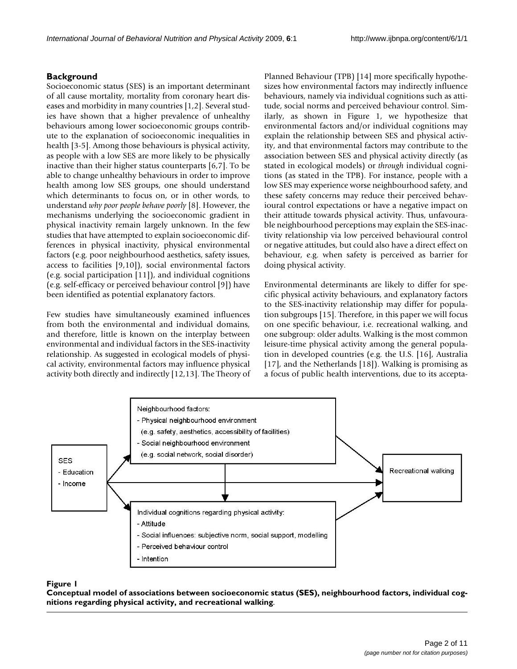# **Background**

Socioeconomic status (SES) is an important determinant of all cause mortality, mortality from coronary heart diseases and morbidity in many countries [1,2]. Several studies have shown that a higher prevalence of unhealthy behaviours among lower socioeconomic groups contribute to the explanation of socioeconomic inequalities in health [3-5]. Among those behaviours is physical activity, as people with a low SES are more likely to be physically inactive than their higher status counterparts [6,7]. To be able to change unhealthy behaviours in order to improve health among low SES groups, one should understand which determinants to focus on, or in other words, to understand *why poor people behave poorly* [8]. However, the mechanisms underlying the socioeconomic gradient in physical inactivity remain largely unknown. In the few studies that have attempted to explain socioeconomic differences in physical inactivity, physical environmental factors (e.g. poor neighbourhood aesthetics, safety issues, access to facilities [9,10]), social environmental factors (e.g. social participation [11]), and individual cognitions (e.g. self-efficacy or perceived behaviour control [9]) have been identified as potential explanatory factors.

Few studies have simultaneously examined influences from both the environmental and individual domains, and therefore, little is known on the interplay between environmental and individual factors in the SES-inactivity relationship. As suggested in ecological models of physical activity, environmental factors may influence physical activity both directly and indirectly [12,13]. The Theory of Planned Behaviour (TPB) [14] more specifically hypothesizes how environmental factors may indirectly influence behaviours, namely via individual cognitions such as attitude, social norms and perceived behaviour control. Similarly, as shown in Figure 1, we hypothesize that environmental factors and/or individual cognitions may explain the relationship between SES and physical activity, and that environmental factors may contribute to the association between SES and physical activity directly (as stated in ecological models) or *through* individual cognitions (as stated in the TPB). For instance, people with a low SES may experience worse neighbourhood safety, and these safety concerns may reduce their perceived behavioural control expectations or have a negative impact on their attitude towards physical activity. Thus, unfavourable neighbourhood perceptions may explain the SES-inactivity relationship via low perceived behavioural control or negative attitudes, but could also have a direct effect on behaviour, e.g. when safety is perceived as barrier for doing physical activity.

Environmental determinants are likely to differ for specific physical activity behaviours, and explanatory factors to the SES-inactivity relationship may differ for population subgroups [15]. Therefore, in this paper we will focus on one specific behaviour, i.e. recreational walking, and one subgroup: older adults. Walking is the most common leisure-time physical activity among the general population in developed countries (e.g. the U.S. [16], Australia [17], and the Netherlands [18]). Walking is promising as a focus of public health interventions, due to its accepta-



# Conceptual model of associations between physical activity, and **Figure 1** recreational walking socioeconomic status (SES), neighbourhood factors, individual cognitions regarding

**Conceptual model of associations between socioeconomic status (SES), neighbourhood factors, individual cognitions regarding physical activity, and recreational walking**.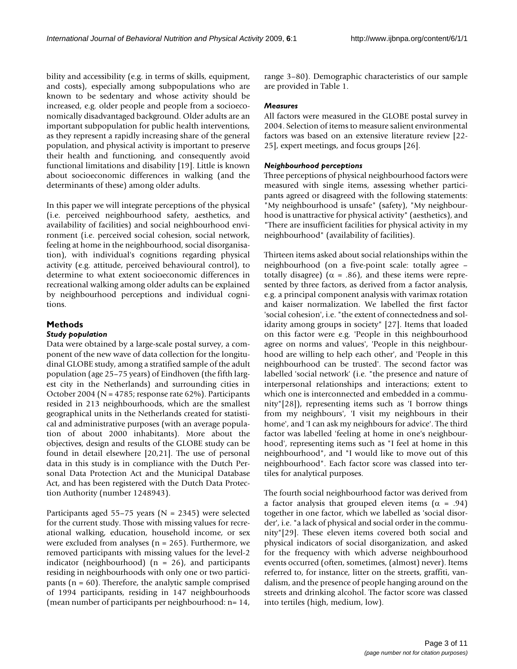bility and accessibility (e.g. in terms of skills, equipment, and costs), especially among subpopulations who are known to be sedentary and whose activity should be increased, e.g. older people and people from a socioeconomically disadvantaged background. Older adults are an important subpopulation for public health interventions, as they represent a rapidly increasing share of the general population, and physical activity is important to preserve their health and functioning, and consequently avoid functional limitations and disability [19]. Little is known about socioeconomic differences in walking (and the determinants of these) among older adults.

In this paper we will integrate perceptions of the physical (i.e. perceived neighbourhood safety, aesthetics, and availability of facilities) and social neighbourhood environment (i.e. perceived social cohesion, social network, feeling at home in the neighbourhood, social disorganisation), with individual's cognitions regarding physical activity (e.g. attitude, perceived behavioural control), to determine to what extent socioeconomic differences in recreational walking among older adults can be explained by neighbourhood perceptions and individual cognitions.

# **Methods**

#### *Study population*

Data were obtained by a large-scale postal survey, a component of the new wave of data collection for the longitudinal GLOBE study, among a stratified sample of the adult population (age 25–75 years) of Eindhoven (the fifth largest city in the Netherlands) and surrounding cities in October 2004 (N = 4785; response rate 62%). Participants resided in 213 neighbourhoods, which are the smallest geographical units in the Netherlands created for statistical and administrative purposes (with an average population of about 2000 inhabitants). More about the objectives, design and results of the GLOBE study can be found in detail elsewhere [20,21]. The use of personal data in this study is in compliance with the Dutch Personal Data Protection Act and the Municipal Database Act, and has been registered with the Dutch Data Protection Authority (number 1248943).

Participants aged 55–75 years ( $N = 2345$ ) were selected for the current study. Those with missing values for recreational walking, education, household income, or sex were excluded from analyses ( $n = 265$ ). Furthermore, we removed participants with missing values for the level-2 indicator (neighbourhood) ( $n = 26$ ), and participants residing in neighbourhoods with only one or two participants ( $n = 60$ ). Therefore, the analytic sample comprised of 1994 participants, residing in 147 neighbourhoods (mean number of participants per neighbourhood: n= 14, range 3–80). Demographic characteristics of our sample are provided in Table 1.

#### *Measures*

All factors were measured in the GLOBE postal survey in 2004. Selection of items to measure salient environmental factors was based on an extensive literature review [22- 25], expert meetings, and focus groups [26].

#### *Neighbourhood perceptions*

Three perceptions of physical neighbourhood factors were measured with single items, assessing whether participants agreed or disagreed with the following statements: "My neighbourhood is unsafe" (safety), "My neighbourhood is unattractive for physical activity" (aesthetics), and "There are insufficient facilities for physical activity in my neighbourhood" (availability of facilities).

Thirteen items asked about social relationships within the neighbourhood (on a five-point scale: totally agree – totally disagree) ( $\alpha$  = .86), and these items were represented by three factors, as derived from a factor analysis, e.g. a principal component analysis with varimax rotation and kaiser normalization. We labelled the first factor 'social cohesion', i.e. "the extent of connectedness and solidarity among groups in society" [27]. Items that loaded on this factor were e.g. 'People in this neighbourhood agree on norms and values', 'People in this neighbourhood are willing to help each other', and 'People in this neighbourhood can be trusted'. The second factor was labelled 'social network' (i.e. "the presence and nature of interpersonal relationships and interactions; extent to which one is interconnected and embedded in a community"[28]), representing items such as 'I borrow things from my neighbours', 'I visit my neighbours in their home', and 'I can ask my neighbours for advice'. The third factor was labelled 'feeling at home in one's neighbourhood', representing items such as "I feel at home in this neighbourhood", and "I would like to move out of this neighbourhood". Each factor score was classed into tertiles for analytical purposes.

The fourth social neighbourhood factor was derived from a factor analysis that grouped eleven items ( $\alpha$  = .94) together in one factor, which we labelled as 'social disorder', i.e. "a lack of physical and social order in the community"[29]. These eleven items covered both social and physical indicators of social disorganization, and asked for the frequency with which adverse neighbourhood events occurred (often, sometimes, (almost) never). Items referred to, for instance, litter on the streets, graffiti, vandalism, and the presence of people hanging around on the streets and drinking alcohol. The factor score was classed into tertiles (high, medium, low).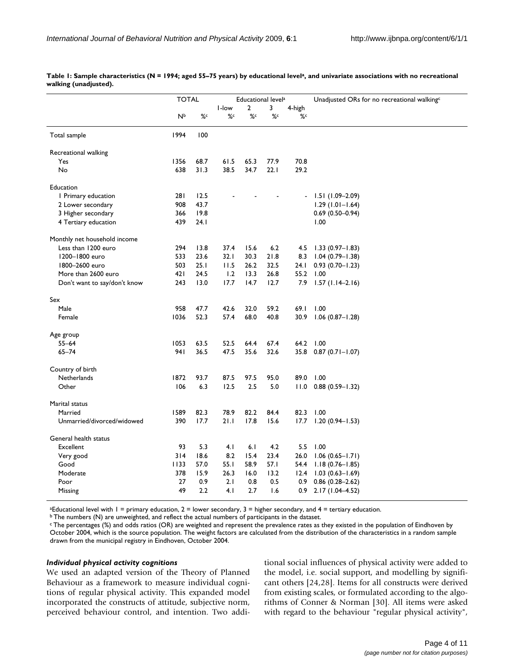|                              | <b>TOTAL</b> |      | Educational level <sup>a</sup> |      |      | Unadjusted ORs for no recreational walking <sup>c</sup> |                     |  |
|------------------------------|--------------|------|--------------------------------|------|------|---------------------------------------------------------|---------------------|--|
|                              |              |      | I-low                          | 2    | 3    | 4-high                                                  |                     |  |
|                              | Иp           | %¢   | %c                             | %c   | %c   | %c                                                      |                     |  |
| Total sample                 | 1994         | 100  |                                |      |      |                                                         |                     |  |
| Recreational walking         |              |      |                                |      |      |                                                         |                     |  |
| Yes                          | 1356         | 68.7 | 61.5                           | 65.3 | 77.9 | 70.8                                                    |                     |  |
| No                           | 638          | 31.3 | 38.5                           | 34.7 | 22.1 | 29.2                                                    |                     |  |
| Education                    |              |      |                                |      |      |                                                         |                     |  |
| I Primary education          | 28 I         | 12.5 |                                |      |      |                                                         | $1.51(1.09 - 2.09)$ |  |
| 2 Lower secondary            | 908          | 43.7 |                                |      |      |                                                         | $1.29(1.01 - 1.64)$ |  |
| 3 Higher secondary           | 366          | 19.8 |                                |      |      |                                                         | $0.69(0.50 - 0.94)$ |  |
| 4 Tertiary education         | 439          | 24.1 |                                |      |      |                                                         | 1.00                |  |
| Monthly net household income |              |      |                                |      |      |                                                         |                     |  |
| Less than 1200 euro          | 294          | 13.8 | 37.4                           | 15.6 | 6.2  | 4.5                                                     | $1.33(0.97 - 1.83)$ |  |
| 1200-1800 euro               | 533          | 23.6 | 32.1                           | 30.3 | 21.8 | 8.3                                                     | $1.04(0.79 - 1.38)$ |  |
| 1800-2600 euro               | 503          | 25.1 | 11.5                           | 26.2 | 32.5 | 24. I                                                   | $0.93(0.70 - 1.23)$ |  |
| More than 2600 euro          | 421          | 24.5 | 1.2                            | 13.3 | 26.8 | 55.2                                                    | 1.00                |  |
| Don't want to say/don't know | 243          | 13.0 | 17.7                           | 14.7 | 12.7 | 7.9                                                     | $1.57(1.14-2.16)$   |  |
| Sex                          |              |      |                                |      |      |                                                         |                     |  |
| Male                         | 958          | 47.7 | 42.6                           | 32.0 | 59.2 | 69.I                                                    | 1.00                |  |
| Female                       | 1036         | 52.3 | 57.4                           | 68.0 | 40.8 | 30.9                                                    | $1.06(0.87 - 1.28)$ |  |
| Age group                    |              |      |                                |      |      |                                                         |                     |  |
| $55 - 64$                    | 1053         | 63.5 | 52.5                           | 64.4 | 67.4 | 64.2                                                    | 1.00                |  |
| $65 - 74$                    | 94 I         | 36.5 | 47.5                           | 35.6 | 32.6 | 35.8                                                    | $0.87(0.71 - 1.07)$ |  |
| Country of birth             |              |      |                                |      |      |                                                         |                     |  |
| Netherlands                  | 1872         | 93.7 | 87.5                           | 97.5 | 95.0 | 89.0                                                    | 1.00                |  |
| Other                        | 106          | 6.3  | 12.5                           | 2.5  | 5.0  | 11.0                                                    | $0.88(0.59 - 1.32)$ |  |
| Marital status               |              |      |                                |      |      |                                                         |                     |  |
| Married                      | 1589         | 82.3 | 78.9                           | 82.2 | 84.4 | 82.3                                                    | 1.00                |  |
| Unmarried/divorced/widowed   | 390          | 17.7 | 21.1                           | 17.8 | 15.6 | 17.7                                                    | $1.20(0.94 - 1.53)$ |  |
| General health status        |              |      |                                |      |      |                                                         |                     |  |
| Excellent                    | 93           | 5.3  | 4.1                            | 6.1  | 4.2  | 5.5                                                     | 1.00                |  |
| Very good                    | 314          | 18.6 | 8.2                            | 15.4 | 23.4 | 26.0                                                    | $1.06(0.65 - 1.71)$ |  |
| Good                         | 1133         | 57.0 | 55.1                           | 58.9 | 57.I | 54.4                                                    | $1.18(0.76 - 1.85)$ |  |
| Moderate                     | 378          | 15.9 | 26.3                           | 16.0 | 13.2 | 12.4                                                    | $1.03(0.63 - 1.69)$ |  |
| Poor                         | 27           | 0.9  | 2.1                            | 0.8  | 0.5  | 0.9                                                     | $0.86(0.28-2.62)$   |  |
| Missing                      | 49           | 2.2  | 4.1                            | 2.7  | 1.6  | 0.9                                                     | 2.17 (1.04-4.52)    |  |
|                              |              |      |                                |      |      |                                                         |                     |  |

Table 1: Sample characteristics (N = 1994; aged 55–75 years) by educational level<sup>a</sup>, and univariate associations with no recreational **walking (unadjusted).**

aEducational level with 1 = primary education, 2 = lower secondary, 3 = higher secondary, and 4 = tertiary education.

 $b$  The numbers (N) are unweighted, and reflect the actual numbers of participants in the dataset.

c The percentages (%) and odds ratios (OR) are weighted and represent the prevalence rates as they existed in the population of Eindhoven by October 2004, which is the source population. The weight factors are calculated from the distribution of the characteristics in a random sample drawn from the municipal registry in Eindhoven, October 2004.

#### *Individual physical activity cognitions*

We used an adapted version of the Theory of Planned Behaviour as a framework to measure individual cognitions of regular physical activity. This expanded model incorporated the constructs of attitude, subjective norm, perceived behaviour control, and intention. Two additional social influences of physical activity were added to the model, i.e. social support, and modelling by significant others [24,28]. Items for all constructs were derived from existing scales, or formulated according to the algorithms of Conner & Norman [30]. All items were asked with regard to the behaviour "regular physical activity",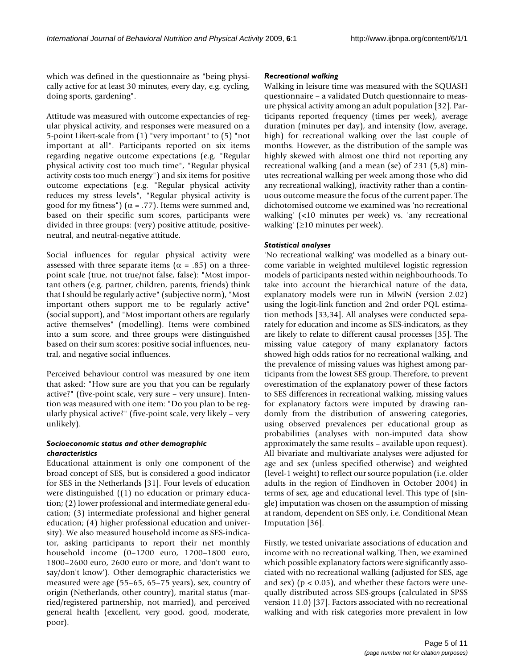which was defined in the questionnaire as "being physically active for at least 30 minutes, every day, e.g. cycling, doing sports, gardening".

Attitude was measured with outcome expectancies of regular physical activity, and responses were measured on a 5-point Likert-scale from (1) "very important" to (5) "not important at all". Participants reported on six items regarding negative outcome expectations (e.g. "Regular physical activity cost too much time", "Regular physical activity costs too much energy") and six items for positive outcome expectations (e.g. "Regular physical activity reduces my stress levels", "Regular physical activity is good for my fitness") ( $\alpha$  = .77). Items were summed and, based on their specific sum scores, participants were divided in three groups: (very) positive attitude, positiveneutral, and neutral-negative attitude.

Social influences for regular physical activity were assessed with three separate items ( $\alpha$  = .85) on a threepoint scale (true, not true/not false, false): "Most important others (e.g. partner, children, parents, friends) think that I should be regularly active" (subjective norm), "Most important others support me to be regularly active" (social support), and "Most important others are regularly active themselves" (modelling). Items were combined into a sum score, and three groups were distinguished based on their sum scores: positive social influences, neutral, and negative social influences.

Perceived behaviour control was measured by one item that asked: "How sure are you that you can be regularly active?" (five-point scale, very sure – very unsure). Intention was measured with one item: "Do you plan to be regularly physical active?" (five-point scale, very likely – very unlikely).

# *Socioeconomic status and other demographic characteristics*

Educational attainment is only one component of the broad concept of SES, but is considered a good indicator for SES in the Netherlands [31]. Four levels of education were distinguished ((1) no education or primary education; (2) lower professional and intermediate general education; (3) intermediate professional and higher general education; (4) higher professional education and university). We also measured household income as SES-indicator, asking participants to report their net monthly household income (0–1200 euro, 1200–1800 euro, 1800–2600 euro, 2600 euro or more, and 'don't want to say/don't know'). Other demographic characteristics we measured were age (55–65, 65–75 years), sex, country of origin (Netherlands, other country), marital status (married/registered partnership, not married), and perceived general health (excellent, very good, good, moderate, poor).

#### *Recreational walking*

Walking in leisure time was measured with the SQUASH questionnaire – a validated Dutch questionnaire to measure physical activity among an adult population [32]. Participants reported frequency (times per week), average duration (minutes per day), and intensity (low, average, high) for recreational walking over the last couple of months. However, as the distribution of the sample was highly skewed with almost one third not reporting any recreational walking (and a mean (se) of 231 (5,8) minutes recreational walking per week among those who did any recreational walking), *in*activity rather than a continuous outcome measure the focus of the current paper. The dichotomised outcome we examined was 'no recreational walking' (<10 minutes per week) vs. 'any recreational walking' (≥10 minutes per week).

#### *Statistical analyses*

'No recreational walking' was modelled as a binary outcome variable in weighted multilevel logistic regression models of participants nested within neighbourhoods. To take into account the hierarchical nature of the data, explanatory models were run in MlwiN (version 2.02) using the logit-link function and 2nd order PQL estimation methods [33,34]. All analyses were conducted separately for education and income as SES-indicators, as they are likely to relate to different causal processes [35]. The missing value category of many explanatory factors showed high odds ratios for no recreational walking, and the prevalence of missing values was highest among participants from the lowest SES group. Therefore, to prevent overestimation of the explanatory power of these factors to SES differences in recreational walking, missing values for explanatory factors were imputed by drawing randomly from the distribution of answering categories, using observed prevalences per educational group as probabilities (analyses with non-imputed data show approximately the same results – available upon request). All bivariate and multivariate analyses were adjusted for age and sex (unless specified otherwise) and weighted (level-1 weight) to reflect our source population (i.e. older adults in the region of Eindhoven in October 2004) in terms of sex, age and educational level. This type of (single) imputation was chosen on the assumption of missing at random, dependent on SES only, i.e. Conditional Mean Imputation [36].

Firstly, we tested univariate associations of education and income with no recreational walking. Then, we examined which possible explanatory factors were significantly associated with no recreational walking (adjusted for SES, age and sex) ( $p < 0.05$ ), and whether these factors were unequally distributed across SES-groups (calculated in SPSS version 11.0) [37]. Factors associated with no recreational walking and with risk categories more prevalent in low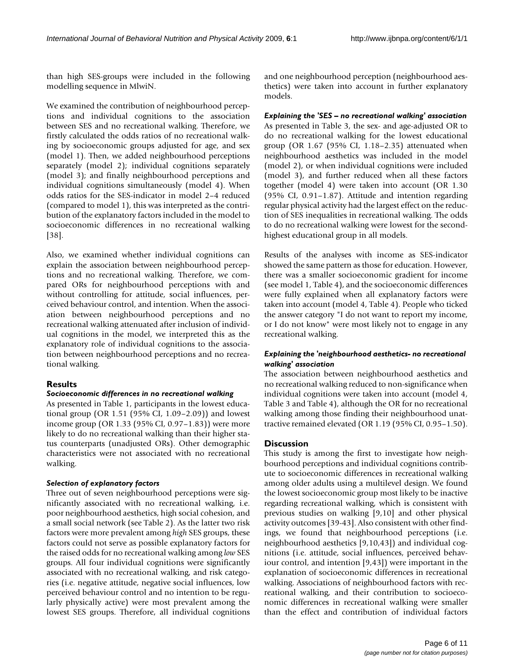than high SES-groups were included in the following modelling sequence in MlwiN.

We examined the contribution of neighbourhood perceptions and individual cognitions to the association between SES and no recreational walking. Therefore, we firstly calculated the odds ratios of no recreational walking by socioeconomic groups adjusted for age, and sex (model 1). Then, we added neighbourhood perceptions separately (model 2); individual cognitions separately (model 3); and finally neighbourhood perceptions and individual cognitions simultaneously (model 4). When odds ratios for the SES-indicator in model 2–4 reduced (compared to model 1), this was interpreted as the contribution of the explanatory factors included in the model to socioeconomic differences in no recreational walking [38].

Also, we examined whether individual cognitions can explain the association between neighbourhood perceptions and no recreational walking. Therefore, we compared ORs for neighbourhood perceptions with and without controlling for attitude, social influences, perceived behaviour control, and intention. When the association between neighbourhood perceptions and no recreational walking attenuated after inclusion of individual cognitions in the model, we interpreted this as the explanatory role of individual cognitions to the association between neighbourhood perceptions and no recreational walking.

# **Results**

# *Socioeconomic differences in no recreational walking*

As presented in Table 1, participants in the lowest educational group (OR 1.51 (95% CI, 1.09–2.09)) and lowest income group (OR 1.33 (95% CI, 0.97–1.83)) were more likely to do no recreational walking than their higher status counterparts (unadjusted ORs). Other demographic characteristics were not associated with no recreational walking.

# *Selection of explanatory factors*

Three out of seven neighbourhood perceptions were significantly associated with no recreational walking, i.e. poor neighbourhood aesthetics, high social cohesion, and a small social network (see Table 2). As the latter two risk factors were more prevalent among *high* SES groups, these factors could not serve as possible explanatory factors for the raised odds for no recreational walking among *low* SES groups. All four individual cognitions were significantly associated with no recreational walking, and risk categories (i.e. negative attitude, negative social influences, low perceived behaviour control and no intention to be regularly physically active) were most prevalent among the lowest SES groups. Therefore, all individual cognitions and one neighbourhood perception (neighbourhood aesthetics) were taken into account in further explanatory models.

*Explaining the 'SES – no recreational walking' association* As presented in Table 3, the sex- and age-adjusted OR to do no recreational walking for the lowest educational group (OR 1.67 (95% CI, 1.18–2.35) attenuated when neighbourhood aesthetics was included in the model (model 2), or when individual cognitions were included (model 3), and further reduced when all these factors together (model 4) were taken into account (OR 1.30 (95% CI, 0.91–1.87). Attitude and intention regarding regular physical activity had the largest effect on the reduction of SES inequalities in recreational walking. The odds to do no recreational walking were lowest for the secondhighest educational group in all models.

Results of the analyses with income as SES-indicator showed the same pattern as those for education. However, there was a smaller socioeconomic gradient for income (see model 1, Table 4), and the socioeconomic differences were fully explained when all explanatory factors were taken into account (model 4, Table 4). People who ticked the answer category "I do not want to report my income, or I do not know" were most likely not to engage in any recreational walking.

#### *Explaining the 'neighbourhood aesthetics- no recreational walking' association*

The association between neighbourhood aesthetics and no recreational walking reduced to non-significance when individual cognitions were taken into account (model 4, Table 3 and Table 4), although the OR for no recreational walking among those finding their neighbourhood unattractive remained elevated (OR 1.19 (95% CI, 0.95–1.50).

# **Discussion**

This study is among the first to investigate how neighbourhood perceptions and individual cognitions contribute to socioeconomic differences in recreational walking among older adults using a multilevel design. We found the lowest socioeconomic group most likely to be inactive regarding recreational walking, which is consistent with previous studies on walking [9,10] and other physical activity outcomes [39-43]. Also consistent with other findings, we found that neighbourhood perceptions (i.e. neighbourhood aesthetics [9,10,43]) and individual cognitions (i.e. attitude, social influences, perceived behaviour control, and intention [9,43]) were important in the explanation of socioeconomic differences in recreational walking. Associations of neighbourhood factors with recreational walking, and their contribution to socioeconomic differences in recreational walking were smaller than the effect and contribution of individual factors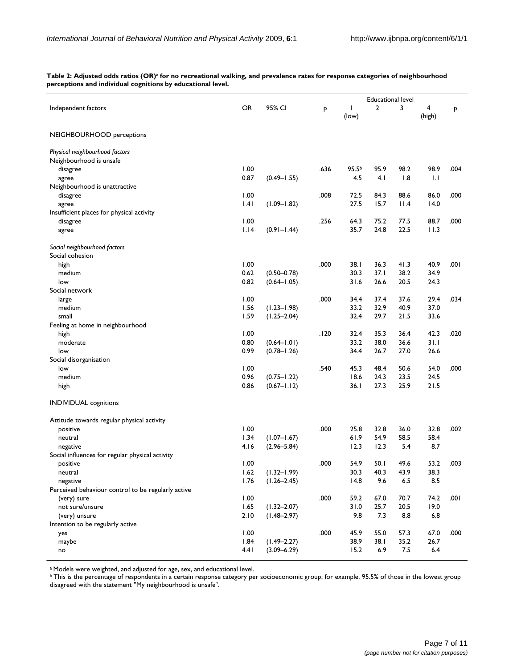|                                                    |           |                 |      | <b>Educational level</b> |                |         |              |      |  |
|----------------------------------------------------|-----------|-----------------|------|--------------------------|----------------|---------|--------------|------|--|
| Independent factors                                | <b>OR</b> | 95% CI          | P    | T<br>(low)               | $\overline{2}$ | 3       | 4<br>(high)  | P    |  |
| NEIGHBOURHOOD perceptions                          |           |                 |      |                          |                |         |              |      |  |
| Physical neighbourhood factors                     |           |                 |      |                          |                |         |              |      |  |
| Neighbourhood is unsafe                            |           |                 |      |                          |                |         |              |      |  |
| disagree                                           | 1.00      |                 | .636 | 95.5 <sup>b</sup>        | 95.9           | 98.2    | 98.9         | .004 |  |
| agree                                              | 0.87      | $(0.49 - 1.55)$ |      | 4.5                      | 4.1            | 1.8     | $\mathsf{L}$ |      |  |
| Neighbourhood is unattractive                      |           |                 |      |                          |                |         |              |      |  |
| disagree                                           | 1.00      |                 | .008 | 72.5                     | 84.3           | 88.6    | 86.0         | .000 |  |
| agree                                              | .4        | $(1.09 - 1.82)$ |      | 27.5                     | 15.7           | 11.4    | 14.0         |      |  |
| Insufficient places for physical activity          |           |                 |      |                          |                |         |              |      |  |
| disagree                                           | 1.00      |                 | .256 | 64.3                     | 75.2           | 77.5    | 88.7         | .000 |  |
| agree                                              | 1.14      | $(0.91 - 1.44)$ |      | 35.7                     | 24.8           | 22.5    | 11.3         |      |  |
|                                                    |           |                 |      |                          |                |         |              |      |  |
| Social neighbourhood factors                       |           |                 |      |                          |                |         |              |      |  |
| Social cohesion                                    |           |                 |      |                          |                |         |              |      |  |
| high                                               | 1.00      |                 | .000 | 38. I                    | 36.3           | 41.3    | 40.9         | .001 |  |
| medium                                             | 0.62      | $(0.50 - 0.78)$ |      | 30.3                     | 37.I           | 38.2    | 34.9         |      |  |
| low                                                | 0.82      | $(0.64 - 1.05)$ |      | 31.6                     | 26.6           | 20.5    | 24.3         |      |  |
| Social network                                     |           |                 |      |                          |                |         |              |      |  |
|                                                    | 1.00      |                 | .000 | 34.4                     | 37.4           | 37.6    | 29.4         | .034 |  |
| large<br>medium                                    | 1.56      | $(1.23 - 1.98)$ |      | 33.2                     | 32.9           | 40.9    | 37.0         |      |  |
| small                                              | 1.59      |                 |      | 32.4                     | 29.7           | 21.5    | 33.6         |      |  |
|                                                    |           | $(1.25 - 2.04)$ |      |                          |                |         |              |      |  |
| Feeling at home in neighbourhood                   |           |                 |      |                          |                |         |              |      |  |
| high                                               | 1.00      |                 | .120 | 32.4                     | 35.3           | 36.4    | 42.3         | .020 |  |
| moderate                                           | 0.80      | $(0.64 - 1.01)$ |      | 33.2                     | 38.0           | 36.6    | 31.1         |      |  |
| low                                                | 0.99      | $(0.78 - 1.26)$ |      | 34.4                     | 26.7           | 27.0    | 26.6         |      |  |
| Social disorganisation                             |           |                 |      |                          |                |         |              |      |  |
| low                                                | 1.00      |                 | .540 | 45.3                     | 48.4           | 50.6    | 54.0         | .000 |  |
| medium                                             | 0.96      | $(0.75 - 1.22)$ |      | 18.6                     | 24.3           | 23.5    | 24.5         |      |  |
| high                                               | 0.86      | $(0.67 - 1.12)$ |      | 36.1                     | 27.3           | 25.9    | 21.5         |      |  |
| <b>INDIVIDUAL</b> cognitions                       |           |                 |      |                          |                |         |              |      |  |
| Attitude towards regular physical activity         |           |                 |      |                          |                |         |              |      |  |
| positive                                           | 1.00      |                 | .000 | 25.8                     | 32.8           | 36.0    | 32.8         | .002 |  |
| neutral                                            | 1.34      | $(1.07 - 1.67)$ |      | 61.9                     | 54.9           | 58.5    | 58.4         |      |  |
| negative                                           | 4.I6      | $(2.96 - 5.84)$ |      | 12.3                     | 12.3           | 5.4     | 8.7          |      |  |
| Social influences for regular physical activity    |           |                 |      |                          |                |         |              |      |  |
| positive                                           | 1.00      |                 | .000 | 54.9                     | 50.I           | 49.6    | 53.2         | .003 |  |
| neutral                                            | 1.62      | $(1.32 - 1.99)$ |      | 30.3                     | 40.3           | 43.9    | 38.3         |      |  |
| negative                                           | 1.76      | $(1.26 - 2.45)$ |      | 14.8                     | 9.6            | $6.5\,$ | 8.5          |      |  |
| Perceived behaviour control to be regularly active |           |                 |      |                          |                |         |              |      |  |
| (very) sure                                        | 1.00      |                 | .000 | 59.2                     | 67.0           | 70.7    | 74.2         | .001 |  |
| not sure/unsure                                    | 1.65      | $(1.32 - 2.07)$ |      | 31.0                     | 25.7           | 20.5    | 19.0         |      |  |
| (very) unsure                                      | 2.10      | $(1.48 - 2.97)$ |      | 9.8                      | 7.3            | 8.8     | 6.8          |      |  |
| Intention to be regularly active                   |           |                 |      |                          |                |         |              |      |  |
| yes                                                | 1.00      |                 | .000 | 45.9                     | 55.0           | 57.3    | 67.0         | .000 |  |
| maybe                                              | 1.84      | $(1.49 - 2.27)$ |      | 38.9                     | 38.1           | 35.2    | 26.7         |      |  |
| no                                                 | 4.41      | $(3.09 - 6.29)$ |      | 15.2                     | 6.9            | 7.5     | 6.4          |      |  |
|                                                    |           |                 |      |                          |                |         |              |      |  |

Table 2: Adjusted odds ratios (OR)<sup>a</sup> for no recreational walking, and prevalence rates for response categories of neighbourhood **perceptions and individual cognitions by educational level.**

a Models were weighted, and adjusted for age, sex, and educational level.

**b This is the percentage of respondents in a certain response category per socioeconomic group; for example, 95.5% of those in the lowest group** disagreed with the statement "My neighbourhood is unsafe".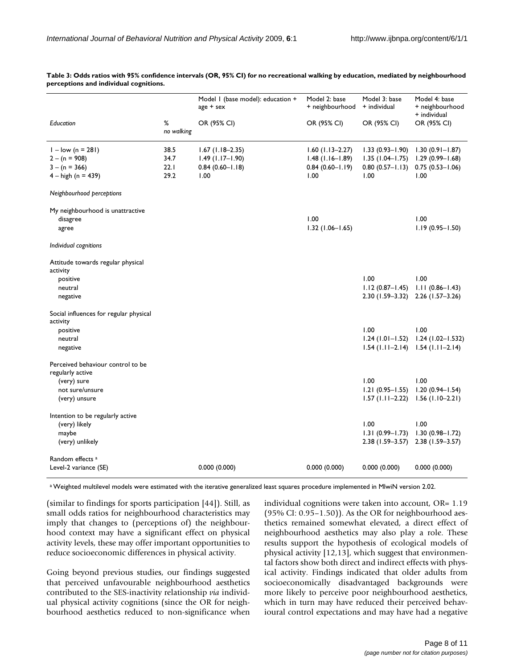|                                                                                   |                              | Model I (base model): education +<br>age + sex                          | Model 2: base<br>+ neighbourhood                                         | Model 3: base<br>+ individual                                           | Model 4: base<br>+ neighbourhood<br>+ individual                          |
|-----------------------------------------------------------------------------------|------------------------------|-------------------------------------------------------------------------|--------------------------------------------------------------------------|-------------------------------------------------------------------------|---------------------------------------------------------------------------|
| Education                                                                         | %<br>no walking              | OR (95% CI)                                                             | OR (95% CI)                                                              | OR (95% CI)                                                             | OR (95% CI)                                                               |
| $1 - low (n = 281)$<br>$2 - (n = 908)$<br>$3 - (n = 366)$<br>$4 - high (n = 439)$ | 38.5<br>34.7<br>22.1<br>29.2 | $1.67$ (1.18-2.35)<br>$1.49$ (1.17-1.90)<br>$0.84(0.60 - 1.18)$<br>1.00 | $1.60$ (1.13-2.27)<br>$1.48(1.16 - 1.89)$<br>$0.84(0.60 - 1.19)$<br>1.00 | $1.33(0.93 - 1.90)$<br>$1.35(1.04-1.75)$<br>$0.80(0.57 - 1.13)$<br>1.00 | $1.30(0.91 - 1.87)$<br>$1.29(0.99 - 1.68)$<br>$0.75(0.53 - 1.06)$<br>1.00 |
| Neighbourhood perceptions                                                         |                              |                                                                         |                                                                          |                                                                         |                                                                           |
| My neighbourhood is unattractive<br>disagree<br>agree                             |                              |                                                                         | 1.00<br>$1.32$ (1.06-1.65)                                               |                                                                         | 1.00<br>$1.19(0.95 - 1.50)$                                               |
| Individual cognitions                                                             |                              |                                                                         |                                                                          |                                                                         |                                                                           |
| Attitude towards regular physical<br>activity<br>positive<br>neutral<br>negative  |                              |                                                                         |                                                                          | 1.00<br>$1.12(0.87 - 1.45)$<br>2.30 (1.59–3.32)                         | 1.00<br>$1.11(0.86 - 1.43)$<br>$2.26$ (1.57-3.26)                         |
| Social influences for regular physical<br>activity                                |                              |                                                                         |                                                                          |                                                                         |                                                                           |
| positive<br>neutral<br>negative                                                   |                              |                                                                         |                                                                          | 1.00<br>$1.24(1.01 - 1.52)$<br>$1.54$ (1.11–2.14)                       | 1.00<br>$1.24$ (1.02-1.532)<br>$1.54$ (1.11-2.14)                         |
| Perceived behaviour control to be<br>regularly active                             |                              |                                                                         |                                                                          |                                                                         |                                                                           |
| (very) sure<br>not sure/unsure<br>(very) unsure                                   |                              |                                                                         |                                                                          | 1.00<br>$1.21(0.95 - 1.55)$<br>$1.57$ (1.11-2.22)                       | 1.00<br>$1.20(0.94 - 1.54)$<br>$1.56(1.10-2.21)$                          |
| Intention to be regularly active<br>(very) likely<br>maybe<br>(very) unlikely     |                              |                                                                         |                                                                          | 1.00<br>$1.31(0.99 - 1.73)$<br>$2.38(1.59 - 3.57)$                      | 1.00<br>$1.30(0.98 - 1.72)$<br>$2.38(1.59 - 3.57)$                        |
| Random effects <sup>a</sup><br>Level-2 variance (SE)                              |                              | 0.000(0.000)                                                            | 0.000(0.000)                                                             | 0.000(0.000)                                                            | 0.000(0.000)                                                              |

**Table 3: Odds ratios with 95% confidence intervals (OR, 95% CI) for no recreational walking by education, mediated by neighbourhood perceptions and individual cognitions.**

a Weighted multilevel models were estimated with the iterative generalized least squares procedure implemented in MlwiN version 2.02.

(similar to findings for sports participation [44]). Still, as small odds ratios for neighbourhood characteristics may imply that changes to (perceptions of) the neighbourhood context may have a significant effect on physical activity levels, these may offer important opportunities to reduce socioeconomic differences in physical activity.

Going beyond previous studies, our findings suggested that perceived unfavourable neighbourhood aesthetics contributed to the SES-inactivity relationship *via* individual physical activity cognitions (since the OR for neighbourhood aesthetics reduced to non-significance when

individual cognitions were taken into account, OR= 1.19 (95% CI: 0.95–1.50)). As the OR for neighbourhood aesthetics remained somewhat elevated, a direct effect of neighbourhood aesthetics may also play a role. These results support the hypothesis of ecological models of physical activity [12,13], which suggest that environmental factors show both direct and indirect effects with physical activity. Findings indicated that older adults from socioeconomically disadvantaged backgrounds were more likely to perceive poor neighbourhood aesthetics, which in turn may have reduced their perceived behavioural control expectations and may have had a negative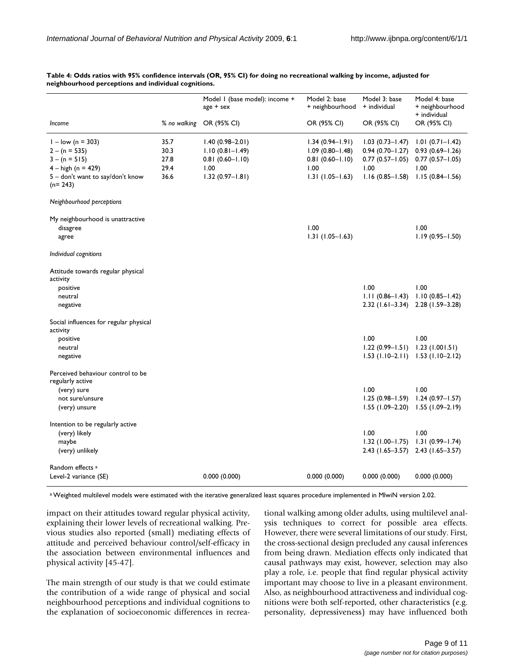|                                                       |              | Model 1 (base model): income +<br>$age + sex$ | Model 2: base<br>+ neighbourhood | Model 3: base<br>+ individual | Model 4: base<br>+ neighbourhood<br>+ individual |  |
|-------------------------------------------------------|--------------|-----------------------------------------------|----------------------------------|-------------------------------|--------------------------------------------------|--|
| Income                                                | % no walking | OR (95% CI)                                   | OR (95% CI)                      | OR (95% CI)                   | OR (95% CI)                                      |  |
| $1 - low (n = 303)$                                   | 35.7         | $1.40(0.98 - 2.01)$                           | $1.34(0.94 - 1.91)$              | $1.03(0.73 - 1.47)$           | $1.01(0.71 - 1.42)$                              |  |
| $2 - (n = 535)$                                       | 30.3         | $1.10(0.81 - 1.49)$                           | $1.09(0.80 - 1.48)$              | $0.94(0.70 - 1.27)$           | $0.93(0.69 - 1.26)$                              |  |
| $3 - (n = 515)$                                       | 27.8         | $0.81(0.60 - 1.10)$                           | $0.81(0.60 - 1.10)$              | $0.77(0.57 - 1.05)$           | $0.77(0.57 - 1.05)$                              |  |
| $4 - high (n = 429)$                                  | 29.4         | 1.00                                          | 1.00                             | 1.00                          | 1.00                                             |  |
| 5 - don't want to say/don't know<br>$(n=243)$         | 36.6         | $1.32(0.97 - 1.81)$                           | $1.31(1.05 - 1.63)$              | $1.16(0.85 - 1.58)$           | $1.15(0.84 - 1.56)$                              |  |
| Neighbourhood perceptions                             |              |                                               |                                  |                               |                                                  |  |
| My neighbourhood is unattractive                      |              |                                               |                                  |                               |                                                  |  |
| disagree                                              |              |                                               | 1.00                             |                               | 1.00                                             |  |
| agree                                                 |              |                                               | $1.31(1.05 - 1.63)$              |                               | $1.19(0.95 - 1.50)$                              |  |
| Individual cognitions                                 |              |                                               |                                  |                               |                                                  |  |
| Attitude towards regular physical                     |              |                                               |                                  |                               |                                                  |  |
| activity                                              |              |                                               |                                  | 1.00                          |                                                  |  |
| positive                                              |              |                                               |                                  |                               | 1.00                                             |  |
| neutral                                               |              |                                               |                                  | $1.11(0.86 - 1.43)$           | $1.10(0.85 - 1.42)$                              |  |
| negative                                              |              |                                               |                                  | $2.32$ (1.61–3.34)            | 2.28 (1.59-3.28)                                 |  |
| Social influences for regular physical<br>activity    |              |                                               |                                  |                               |                                                  |  |
| positive                                              |              |                                               |                                  | 1.00                          | 1.00                                             |  |
| neutral                                               |              |                                               |                                  | $1.22(0.99 - 1.51)$           | 1.23(1.001.51)                                   |  |
| negative                                              |              |                                               |                                  | $1.53$ (1.10-2.11)            | $1.53$ (1.10-2.12)                               |  |
| Perceived behaviour control to be<br>regularly active |              |                                               |                                  |                               |                                                  |  |
| (very) sure                                           |              |                                               |                                  | 1.00                          | 1.00                                             |  |
| not sure/unsure                                       |              |                                               |                                  | $1.25(0.98 - 1.59)$           | $1.24(0.97 - 1.57)$                              |  |
| (very) unsure                                         |              |                                               |                                  | $1.55(1.09 - 2.20)$           | $1.55(1.09-2.19)$                                |  |
| Intention to be regularly active                      |              |                                               |                                  |                               |                                                  |  |
| (very) likely                                         |              |                                               |                                  | 1.00                          | 1.00                                             |  |
| maybe                                                 |              |                                               |                                  | $1.32$ (1.00-1.75)            | $1.31(0.99 - 1.74)$                              |  |
| (very) unlikely                                       |              |                                               |                                  | $2.43$ (1.65–3.57)            | $2.43$ (1.65-3.57)                               |  |
| Random effects <sup>a</sup>                           |              |                                               |                                  |                               |                                                  |  |
| Level-2 variance (SE)                                 |              | 0.000(0.000)                                  | 0.000(0.000)                     | 0.000(0.000)                  | 0.000(0.000)                                     |  |

#### **Table 4: Odds ratios with 95% confidence intervals (OR, 95% CI) for doing no recreational walking by income, adjusted for neighbourhood perceptions and individual cognitions.**

a Weighted multilevel models were estimated with the iterative generalized least squares procedure implemented in MlwiN version 2.02.

impact on their attitudes toward regular physical activity, explaining their lower levels of recreational walking. Previous studies also reported (small) mediating effects of attitude and perceived behaviour control**/**self-efficacy in the association between environmental influences and physical activity [45-47].

The main strength of our study is that we could estimate the contribution of a wide range of physical and social neighbourhood perceptions and individual cognitions to the explanation of socioeconomic differences in recreational walking among older adults, using multilevel analysis techniques to correct for possible area effects. However, there were several limitations of our study. First, the cross-sectional design precluded any causal inferences from being drawn. Mediation effects only indicated that causal pathways may exist, however, selection may also play a role, i.e. people that find regular physical activity important may choose to live in a pleasant environment. Also, as neighbourhood attractiveness and individual cognitions were both self-reported, other characteristics (e.g. personality, depressiveness) may have influenced both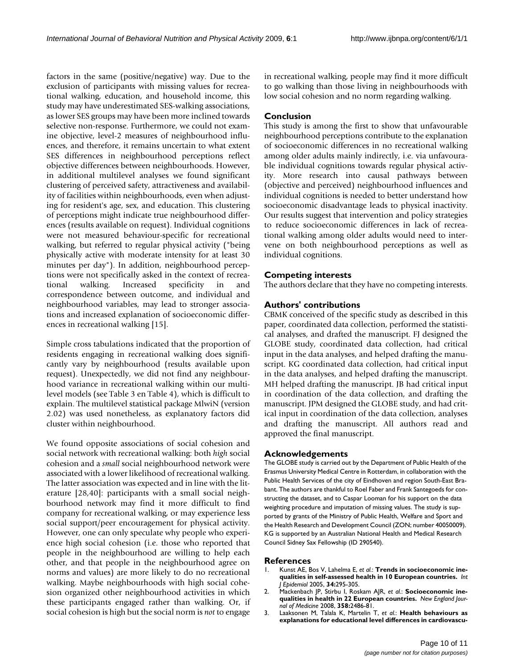factors in the same (positive/negative) way. Due to the exclusion of participants with missing values for recreational walking, education, and household income, this study may have underestimated SES-walking associations, as lower SES groups may have been more inclined towards selective non-response. Furthermore, we could not examine objective, level-2 measures of neighbourhood influences, and therefore, it remains uncertain to what extent SES differences in neighbourhood perceptions reflect objective differences between neighbourhoods. However, in additional multilevel analyses we found significant clustering of perceived safety, attractiveness and availability of facilities within neighbourhoods, even when adjusting for resident's age, sex, and education. This clustering of perceptions might indicate true neighbourhood differences (results available on request). Individual cognitions were not measured behaviour-specific for recreational walking, but referred to regular physical activity ("being physically active with moderate intensity for at least 30 minutes per day"). In addition, neighbourhood perceptions were not specifically asked in the context of recreational walking. Increased specificity in and correspondence between outcome, and individual and neighbourhood variables, may lead to stronger associations and increased explanation of socioeconomic differences in recreational walking [15].

Simple cross tabulations indicated that the proportion of residents engaging in recreational walking does significantly vary by neighbourhood (results available upon request). Unexpectedly, we did not find any neighbourhood variance in recreational walking within our multilevel models (see Table 3 en Table 4), which is difficult to explain. The multilevel statistical package MlwiN (version 2.02) was used nonetheless, as explanatory factors did cluster within neighbourhood.

We found opposite associations of social cohesion and social network with recreational walking: both *high* social cohesion and a *small* social neighbourhood network were associated with a lower likelihood of recreational walking. The latter association was expected and in line with the literature [28,40]: participants with a small social neighbourhood network may find it more difficult to find company for recreational walking, or may experience less social support/peer encouragement for physical activity. However, one can only speculate why people who experience high social cohesion (i.e. those who reported that people in the neighbourhood are willing to help each other, and that people in the neighbourhood agree on norms and values) are more likely to do no recreational walking. Maybe neighbourhoods with high social cohesion organized other neighbourhood activities in which these participants engaged rather than walking. Or, if social cohesion is high but the social norm is *not* to engage in recreational walking, people may find it more difficult to go walking than those living in neighbourhoods with low social cohesion and no norm regarding walking.

# **Conclusion**

This study is among the first to show that unfavourable neighbourhood perceptions contribute to the explanation of socioeconomic differences in no recreational walking among older adults mainly indirectly, i.e. via unfavourable individual cognitions towards regular physical activity. More research into causal pathways between (objective and perceived) neighbourhood influences and individual cognitions is needed to better understand how socioeconomic disadvantage leads to physical inactivity. Our results suggest that intervention and policy strategies to reduce socioeconomic differences in lack of recreational walking among older adults would need to intervene on both neighbourhood perceptions as well as individual cognitions.

# **Competing interests**

The authors declare that they have no competing interests.

# **Authors' contributions**

CBMK conceived of the specific study as described in this paper, coordinated data collection, performed the statistical analyses, and drafted the manuscript. FJ designed the GLOBE study, coordinated data collection, had critical input in the data analyses, and helped drafting the manuscript. KG coordinated data collection, had critical input in the data analyses, and helped drafting the manuscript. MH helped drafting the manuscript. JB had critical input in coordination of the data collection, and drafting the manuscript. JPM designed the GLOBE study, and had critical input in coordination of the data collection, analyses and drafting the manuscript. All authors read and approved the final manuscript.

# **Acknowledgements**

The GLOBE study is carried out by the Department of Public Health of the Erasmus University Medical Centre in Rotterdam, in collaboration with the Public Health Services of the city of Eindhoven and region South-East Brabant. The authors are thankful to Roel Faber and Frank Santegoeds for constructing the dataset, and to Caspar Looman for his support on the data weighting procedure and imputation of missing values. The study is supported by grants of the Ministry of Public Health, Welfare and Sport and the Health Research and Development Council (ZON; number 40050009). KG is supported by an Australian National Health and Medical Research Council Sidney Sax Fellowship (ID 290540).

#### **References**

- Kunst AE, Bos V, Lahelma E, et al.: [Trends in socioeconomic ine](http://www.ncbi.nlm.nih.gov/entrez/query.fcgi?cmd=Retrieve&db=PubMed&dopt=Abstract&list_uids=15563586)**[qualities in self-assessed health in 10 European countries.](http://www.ncbi.nlm.nih.gov/entrez/query.fcgi?cmd=Retrieve&db=PubMed&dopt=Abstract&list_uids=15563586)** *Int J Epidemiol* 2005, **34:**295-305.
- 2. Mackenbach JP, Stirbu I, Roskam AJR, *et al.*: **Socioeconomic inequalities in health in 22 European countries.** *New England Journal of Medicine* 2008, **358:**2486-81.
- 3. Laaksonen M, Talala K, Martelin T, *et al.*: **[Health behaviours as](http://www.ncbi.nlm.nih.gov/entrez/query.fcgi?cmd=Retrieve&db=PubMed&dopt=Abstract&list_uids=17569702) [explanations for educational level differences in cardiovascu](http://www.ncbi.nlm.nih.gov/entrez/query.fcgi?cmd=Retrieve&db=PubMed&dopt=Abstract&list_uids=17569702)-**